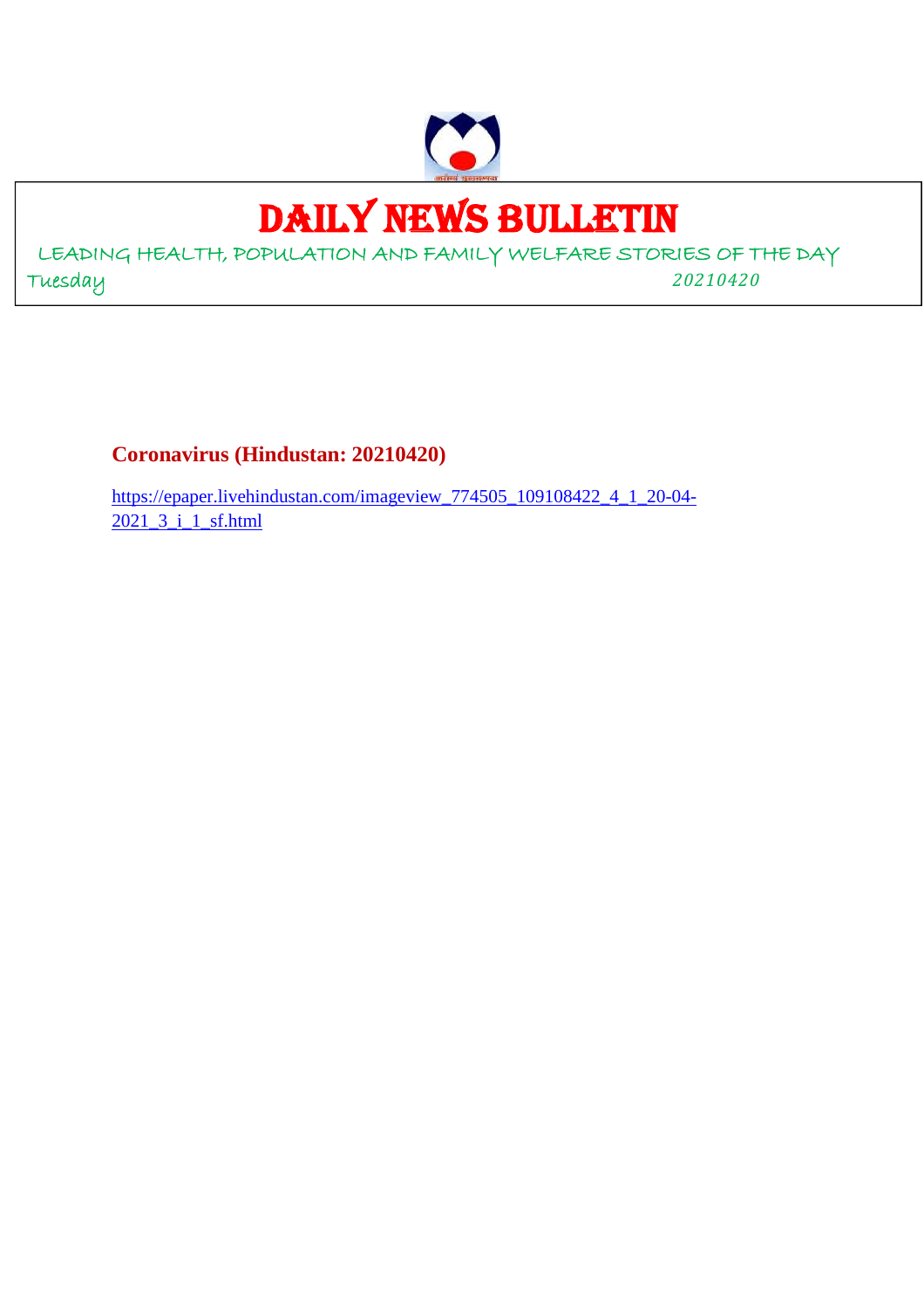

# DAILY NEWS BULLETIN

LEADING HEALTH, POPULATION AND FAMILY WELFARE STORIES OF THE DAY Tuesday *20210420*

**Coronavirus (Hindustan: 20210420)**

https://epaper.livehindustan.com/imageview\_774505\_109108422\_4\_1\_20-04- 2021\_3\_i\_1\_sf.html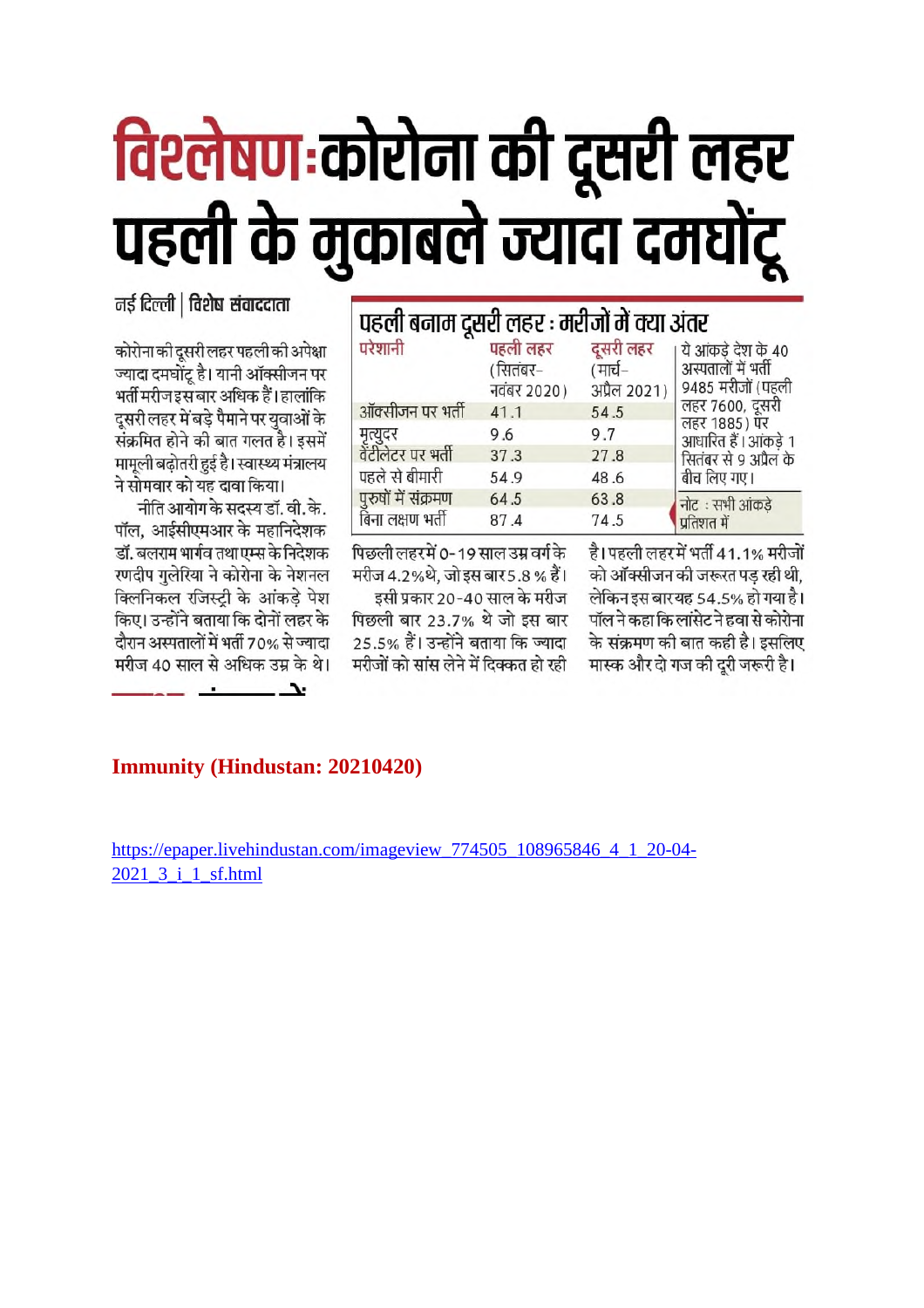# विश्लेषण:कोरोना की दूसरी लहर पहली के मुकाबले ज्यादा दमघोंटू

# नई दिल्ली | विशेष संवाददाता

कोरोना की दुसरी लहर पहली की अपेक्षा ज्यादा दमघोंट है। यानी ऑक्सीजन पर भर्ती मरीज इस बार अधिक हैं। हालांकि दूसरी लहर में बड़े पैमाने पर युवाओं के संक्रमित होने की बात गलत है। इसमें मामूली बढ़ोतरी हुई है। स्वास्थ्य मंत्रालय ने सोमवार को यह दावा किया।

नीति आयोग के सदस्य डॉ. वी. के. पॉल, आईसीएमआर के महानिदेशक डॉ. बलराम भार्गव तथा एम्स के निदेशक रणदीप गलेरिया ने कोरोना के नेशनल क्लिनिकल रजिस्टी के आंकडे पेश किए। उन्होंने बताया कि दोनों लहर के दौरान अस्पतालों में भर्ती 70% से ज्यादा मरीज 40 साल से अधिक उम्र के थे।

| पहली बनाम दूसरी लहर : मरीजों में क्या अंतर |                                    |                                      |                                                                |
|--------------------------------------------|------------------------------------|--------------------------------------|----------------------------------------------------------------|
| परेशानी                                    | पहली लहर<br>सितंबर–<br>नवंबर 2020) | दूसरी लहर<br>(मार्च–<br>अप्रैल 2021) | ये आंकडे देश के 40<br>अस्पतालों में भर्ती<br>9485 मरीजों (पहली |
| ऑक्सीजन पर भर्ती                           | 41.1                               | 54.5                                 | लहर 7600, दूसरी                                                |
| मृत्युदर<br>वेंटीलेटर पर भर्ती             | 9.6                                | 9.7                                  | लहर 1885) पर<br>आधारित हैं। आंकड़े 1                           |
|                                            | 37.3                               | 27.8                                 | सितंबर से 9 अप्रैल के                                          |
| पहले से बीमारी                             | 54.9                               | 48.6                                 | बीच लिए गए।                                                    |
| पुरुषों में संक्रमण                        | 64.5                               | 63.8                                 | नोट : सभी आंकडे                                                |
| बिना लक्षण भर्ती                           | 87.4                               | 74.5                                 | प्रतिशत में                                                    |

पिछली लहरमें 0-19 साल उम्र वर्ग के मरीज 4.2%थे. जो इस बार 5.8% हैं।

इसी प्रकार 20-40 साल के मरीज पिछली बार 23.7% थे जो इस बार 25.5% हैं। उन्होंने बताया कि ज्यादा मरीजों को सांस लेने में दिक्कत हो रही

है। पहली लहर में भर्ती 41.1% मरीजों को ऑक्सीजन की जरूरत पड रही थी. लेकिन इस बारयह 54.5% हो गया है। पॉल ने कहा कि लांसेट ने हवा से कोरोना के संक्रमण की बात कही है। इसलिए मास्क और दो गज की दुरी जरूरी है।

# **Immunity (Hindustan: 20210420)**

 $\overline{\phantom{a}}$ 

https://epaper.livehindustan.com/imageview 774505 108965846 4 1 20-04-2021\_3\_i\_1\_sf.html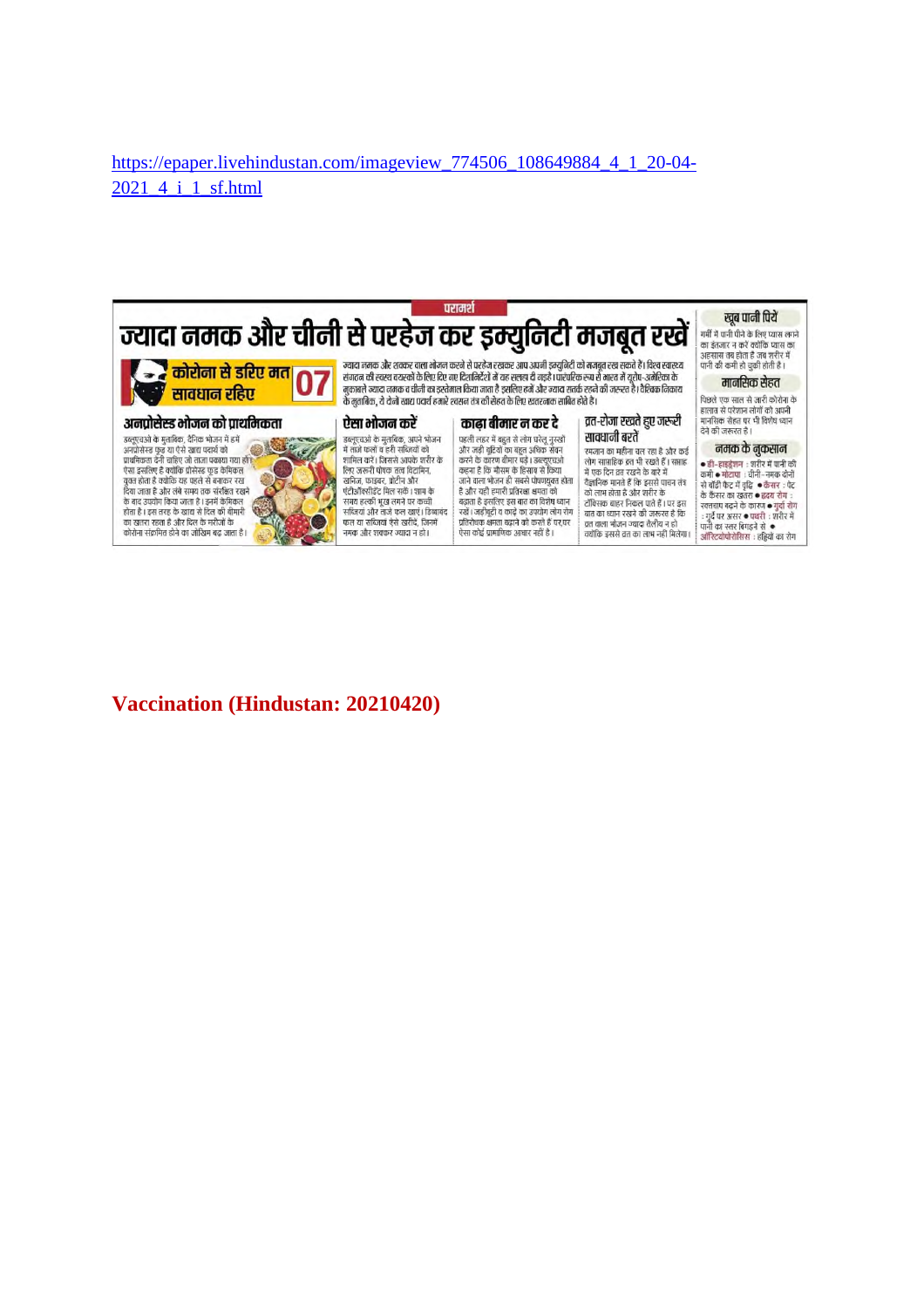#### https://epaper.livehindustan.com/imageview\_774506\_108649884\_4\_1\_20-04- 2021 4 i 1 sf.html



### **Vaccination (Hindustan: 20210420)**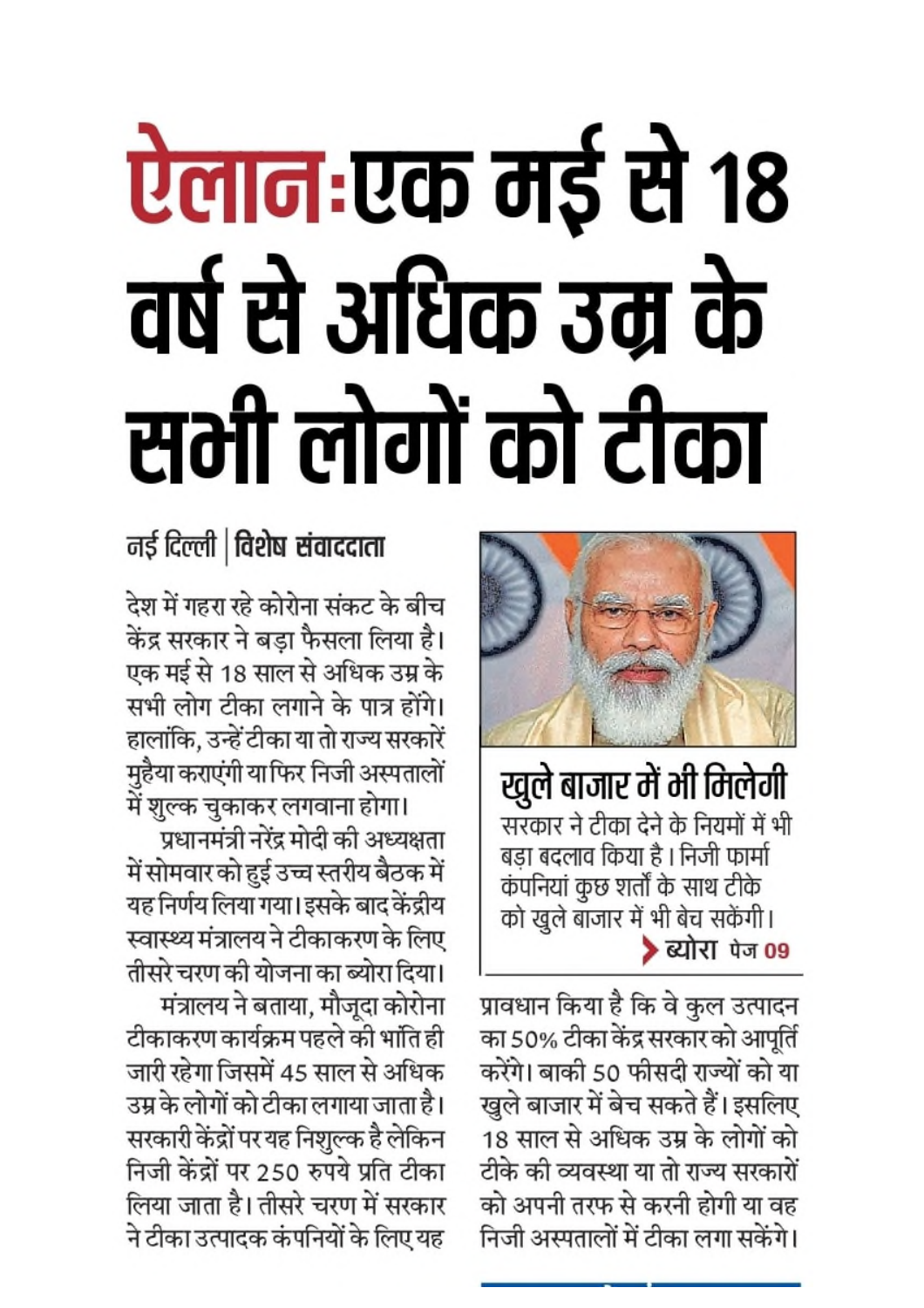# ऐलान:एक मई से १८ वर्ष से अधिक उम्र के सभी लोगों को टीका



खुले बाजार में भी मिलेगी सरकार ने टीका देने के नियमों में भी बड़ा बदलाव किया है। निजी फार्मा कंपनियां कुछ शर्तों के साथ टीके को खुले बाजार में भी बेच सकेंगी। > ब्योरा पेज 09

प्रावधान किया है कि वे कुल उत्पादन का 50% टीका केंद्र सरकार को आपूर्ति करेंगे। बाकी 50 फीसदी राज्यों को या खुले बाजार में बेच सकते हैं। इसलिए 18 साल से अधिक उम्र के लोगों को टीके की व्यवस्था या तो राज्य सरकारों को अपनी तरफ से करनी होगी या वह निजी अस्पतालों में टीका लगा सकेंगे।

# नई दिल्ली | विशेष संवाददाता

देश में गहरा रहे कोरोना संकट के बीच केंद्र सरकार ने बड़ा फैसला लिया है। एक मई से 18 साल से अधिक उम्र के सभी लोग टीका लगाने के पात्र होंगे। हालांकि, उन्हें टीका या तो राज्य सरकारें मुहैया कराएंगी या फिर निजी अस्पतालों में शुल्क चुकाकर लगवाना होगा।

प्रधानमंत्री नरेंद्र मोदी की अध्यक्षता में सोमवार को हुई उच्च स्तरीय बैठक में यह निर्णय लिया गया। इसके बाद केंद्रीय स्वास्थ्य मंत्रालय ने टीकाकरण के लिए तीसरे चरण की योजना का ब्योरा दिया। मंत्रालय ने बताया, मौजूदा कोरोना टीकाकरण कार्यक्रम पहले की भांति ही जारी रहेगा जिसमें 45 साल से अधिक उम्र के लोगों को टीका लगाया जाता है। सरकारी केंद्रों पर यह निशुल्क है लेकिन निजी केंद्रों पर 250 रुपये प्रति टीका लिया जाता है। तीसरे चरण में सरकार ने टीका उत्पादक कंपनियों के लिए यह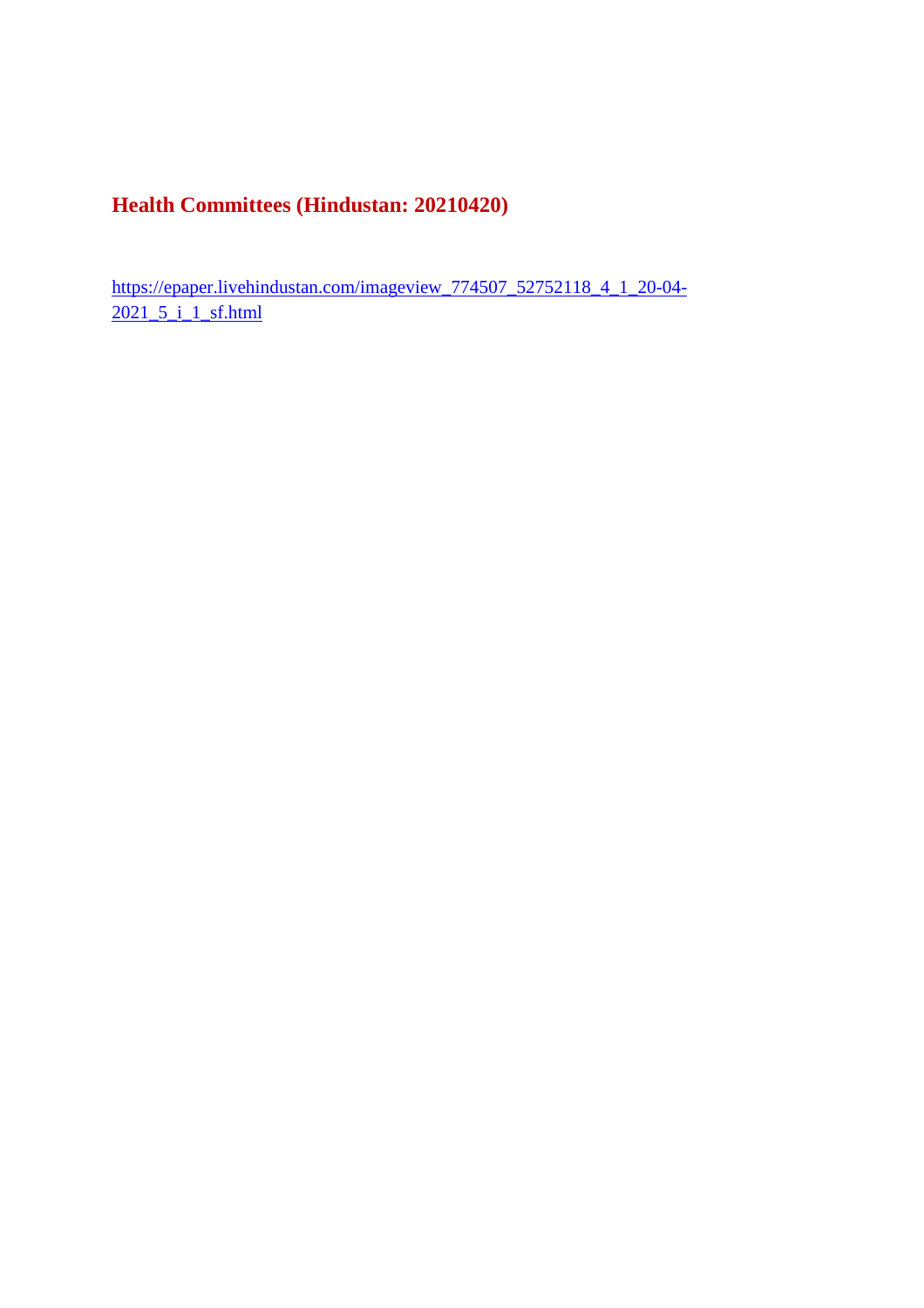**Health Committees (Hindustan: 20210420)**

https://epaper.livehindustan.com/imageview\_774507\_52752118\_4\_1\_20-04- 2021\_5\_i\_1\_sf.html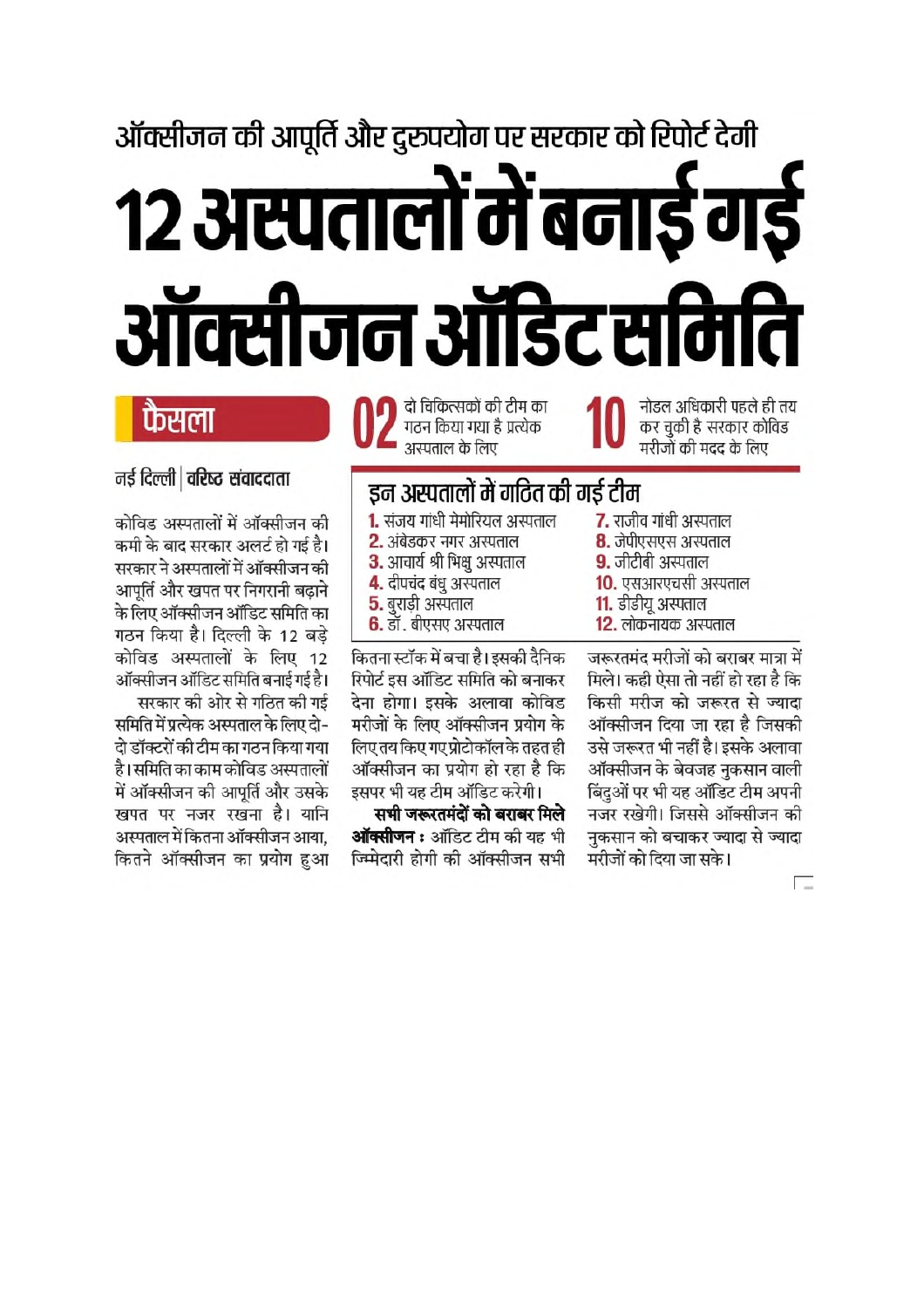# ऑक्सीजन की आपूर्ति और दुरूपयोग पर सरकार को रिपोर्ट देगी १२ अस्पतालों में बनाई ग ऑक्सीजन ऑडिट समिति

# फैसला

नई दिल्ली | वरिष्ट संवाददाता

दो चिकित्सकों की टीम का गठन किया गया है प्रत्येक अस्पताल के लिए

नोडल अधिकारी पहले ही तय कर चुकी है सरकार कोविड मरीजों की मदद के लिए

# इन अस्पतालों में गठित की गई टीम

- 1. संजय गांधी मेमोरियल अस्पताल
- 2. अंबेडकर नगर अस्पताल
- 3. आचार्य श्री भिक्षु अस्पताल
- 4. दीपचंद बंधु अस्पताल
- $5.$  बुराडी अस्पताल
- $6.$  डॉ. बीएसए अस्पताल

कितना स्टॉक में बचा है। इसकी दैनिक रिपोर्ट इस ऑडिट समिति को बनाकर देना होगा। इसके अलावा कोविड मरीजों के लिए ऑक्सीजन प्रयोग के लिए तय किए गए प्रोटोकॉल के तहत ही ऑक्सीजन का प्रयोग हो रहा है कि इसपर भी यह टीम ऑडिट करेगी।

सभी जरूरतमंदों को बराबर मिले **ऑक्सीजन :** ऑडिट टीम की यह भी ज्म्मिदारी होगी की ऑक्सीजन सभी

कोविड अस्पतालों में ऑक्सीजन की कमी के बाद सरकार अलर्ट हो गई है। सरकार ने अस्पतालों में ऑक्सीजन की आपति और खपत पर निगरानी बढाने के लिए ऑक्सीजन ऑडिट समिति का गठन किया है। दिल्ली के 12 बड़े कोविड अस्पतालों के लिए 12 ऑक्सीजन ऑडिट समिति बनाई गई है। सरकार की ओर से गठित की गई

समिति में प्रत्येक अस्पताल के लिए दो-दो डॉक्टरों की टीम का गठन किया गया है।समिति का काम कोविड अस्पतालों में ऑक्सीजन की आपर्ति और उसके खपत पर नजर रखना है। यानि अस्पताल में कितना ऑक्सीजन आया. कितने ऑक्सीजन का प्रयोग हुआ 7. राजीव गांधी अस्पताल 8. जेपीएसएस अस्पताल 9. जीटीबी अस्पताल 10. एसआरएचसी अस्पताल

- 11. डीडीयू अस्पताल
- 12. लोकनायक अस्पताल

जरूरतमंद मरीजों को बराबर मात्रा में मिले। कही ऐसा तो नहीं हो रहा है कि किसी मरीज को जरूरत से ज्यादा ऑक्सीजन दिया जा रहा है जिसकी उसे जरूरत भी नहीं है। इसके अलावा ऑक्सीजन के बेवजह नुकसान वाली बिंदुओं पर भी यह ऑडिट टीम अपनी नजर रखेगी। जिससे ऑक्सीजन की नुकसान को बचाकर ज्यादा से ज्यादा मरीजों को दिया जा सके।

<u>n – </u>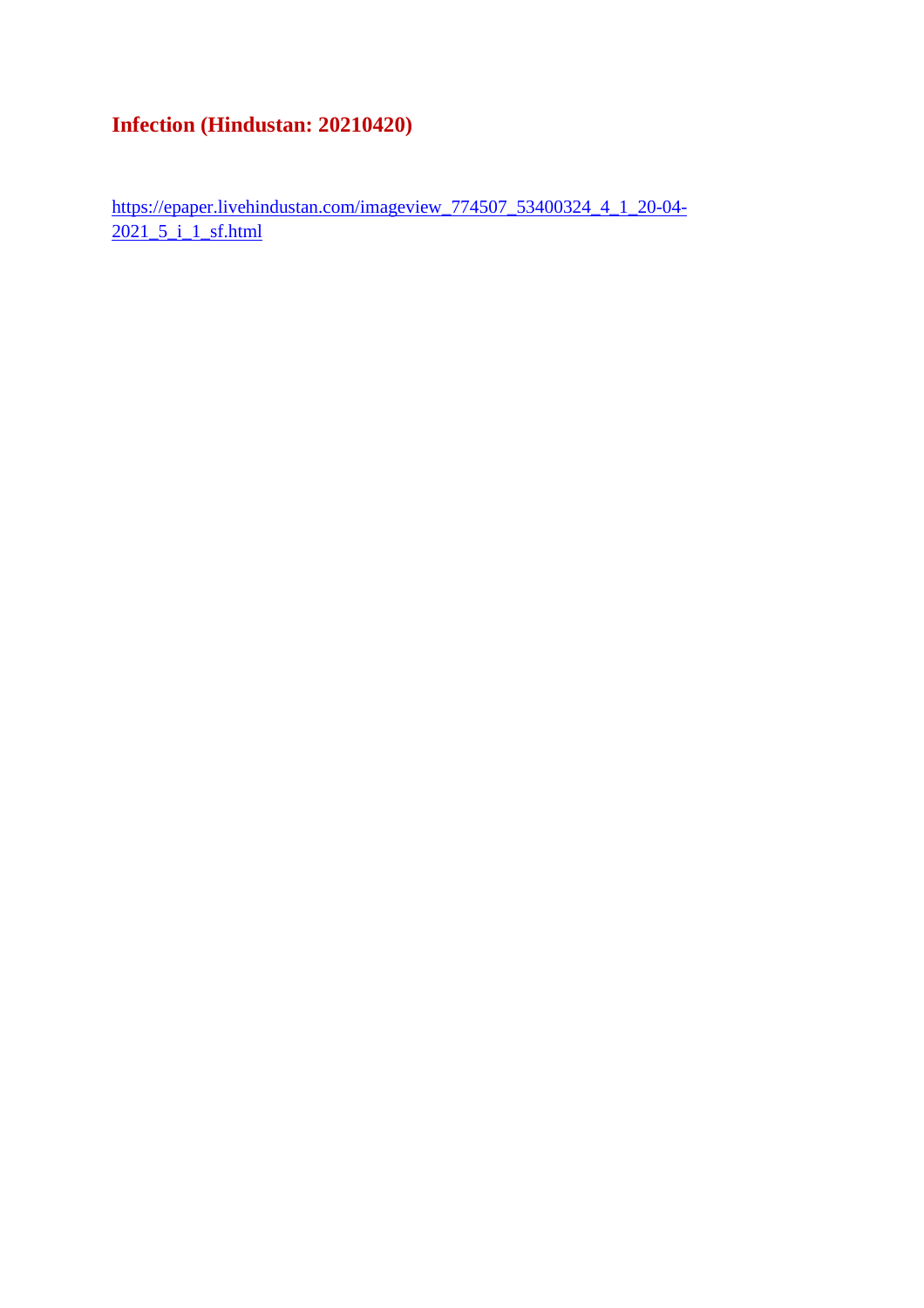# **Infection (Hindustan: 20210420)**

https://epaper.livehindustan.com/imageview\_774507\_53400324\_4\_1\_20-04- 2021\_5\_i\_1\_sf.html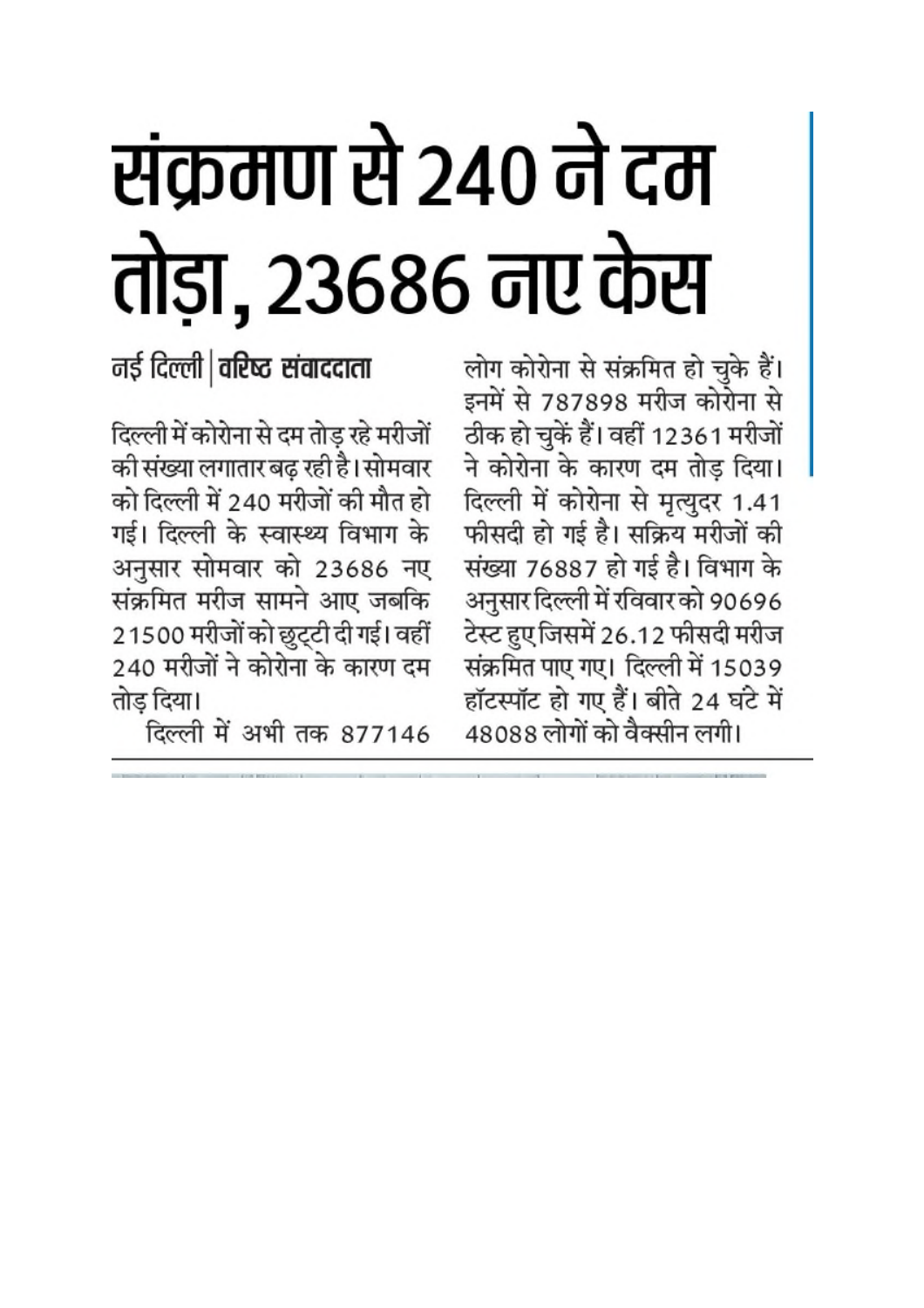# संक्रमण से 240 ने दम तोड़ा, 23686 नए केस

नई दिल्ली | वरिष्ट संवाददाता

दिल्ली में कोरोना से दम तोड़ रहे मरीजों की संख्या लगातार बढ़ रही है। सोमवार को दिल्ली में 240 मरीजों की मौत हो गई। दिल्ली के स्वास्थ्य विभाग के अनुसार सोमवार को 23686 नए संक्रमित मरीज सामने आए जबकि 21500 मरीजों को छुट्टी दी गई। वहीं 240 मरीजों ने कोरोना के कारण दम तोड़ दिया।

दिल्ली में अभी तक 877146

लोग कोरोना से संक्रमित हो चुके हैं। इनमें से 787898 मरीज कोरोना से ठीक हो चुकें हैं। वहीं 12361 मरीजों ने कोरोना के कारण दम तोड़ दिया। दिल्ली में कोरोना से मृत्युदर 1.41 फीसदी हो गई है। सक्रिय मरीजों की संख्या 76887 हो गई है। विभाग के अनुसार दिल्ली में रविवार को 90696 टेस्ट हुए जिसमें 26.12 फीसदी मरीज संक्रमित पाए गए। दिल्ली में 15039 हॉटस्पॉट हो गए हैं। बीते 24 घंटे में 48088 लोगों को वैक्सीन लगी।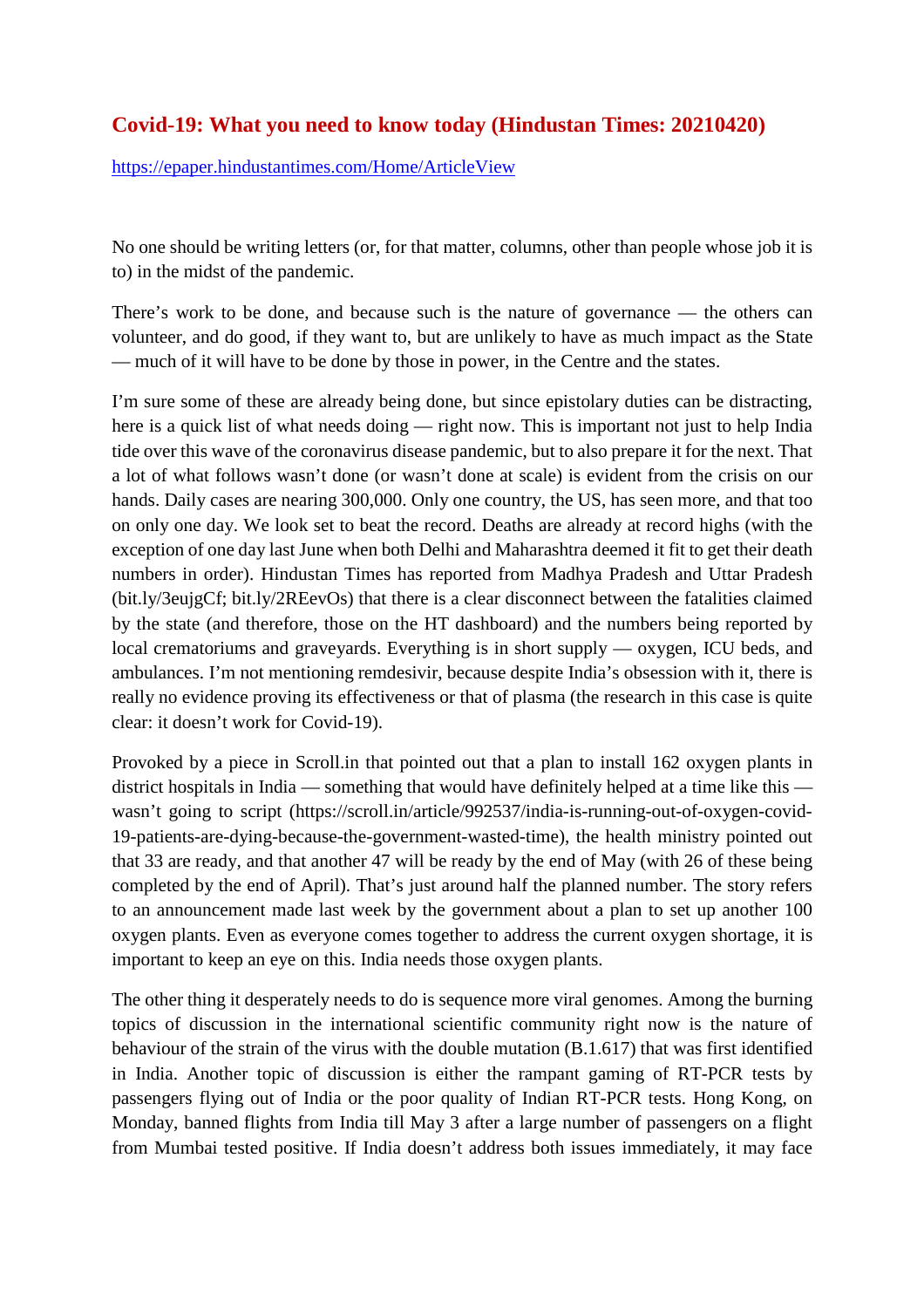### **Covid-19: What you need to know today (Hindustan Times: 20210420)**

https://epaper.hindustantimes.com/Home/ArticleView

No one should be writing letters (or, for that matter, columns, other than people whose job it is to) in the midst of the pandemic.

There's work to be done, and because such is the nature of governance — the others can volunteer, and do good, if they want to, but are unlikely to have as much impact as the State — much of it will have to be done by those in power, in the Centre and the states.

I'm sure some of these are already being done, but since epistolary duties can be distracting, here is a quick list of what needs doing — right now. This is important not just to help India tide over this wave of the coronavirus disease pandemic, but to also prepare it for the next. That a lot of what follows wasn't done (or wasn't done at scale) is evident from the crisis on our hands. Daily cases are nearing 300,000. Only one country, the US, has seen more, and that too on only one day. We look set to beat the record. Deaths are already at record highs (with the exception of one day last June when both Delhi and Maharashtra deemed it fit to get their death numbers in order). Hindustan Times has reported from Madhya Pradesh and Uttar Pradesh (bit.ly/3eujgCf; bit.ly/2REevOs) that there is a clear disconnect between the fatalities claimed by the state (and therefore, those on the HT dashboard) and the numbers being reported by local crematoriums and graveyards. Everything is in short supply — oxygen, ICU beds, and ambulances. I'm not mentioning remdesivir, because despite India's obsession with it, there is really no evidence proving its effectiveness or that of plasma (the research in this case is quite clear: it doesn't work for Covid-19).

Provoked by a piece in Scroll.in that pointed out that a plan to install 162 oxygen plants in district hospitals in India — something that would have definitely helped at a time like this wasn't going to script (https://scroll.in/article/992537/india-is-running-out-of-oxygen-covid-19-patients-are-dying-because-the-government-wasted-time), the health ministry pointed out that 33 are ready, and that another 47 will be ready by the end of May (with 26 of these being completed by the end of April). That's just around half the planned number. The story refers to an announcement made last week by the government about a plan to set up another 100 oxygen plants. Even as everyone comes together to address the current oxygen shortage, it is important to keep an eye on this. India needs those oxygen plants.

The other thing it desperately needs to do is sequence more viral genomes. Among the burning topics of discussion in the international scientific community right now is the nature of behaviour of the strain of the virus with the double mutation (B.1.617) that was first identified in India. Another topic of discussion is either the rampant gaming of RT-PCR tests by passengers flying out of India or the poor quality of Indian RT-PCR tests. Hong Kong, on Monday, banned flights from India till May 3 after a large number of passengers on a flight from Mumbai tested positive. If India doesn't address both issues immediately, it may face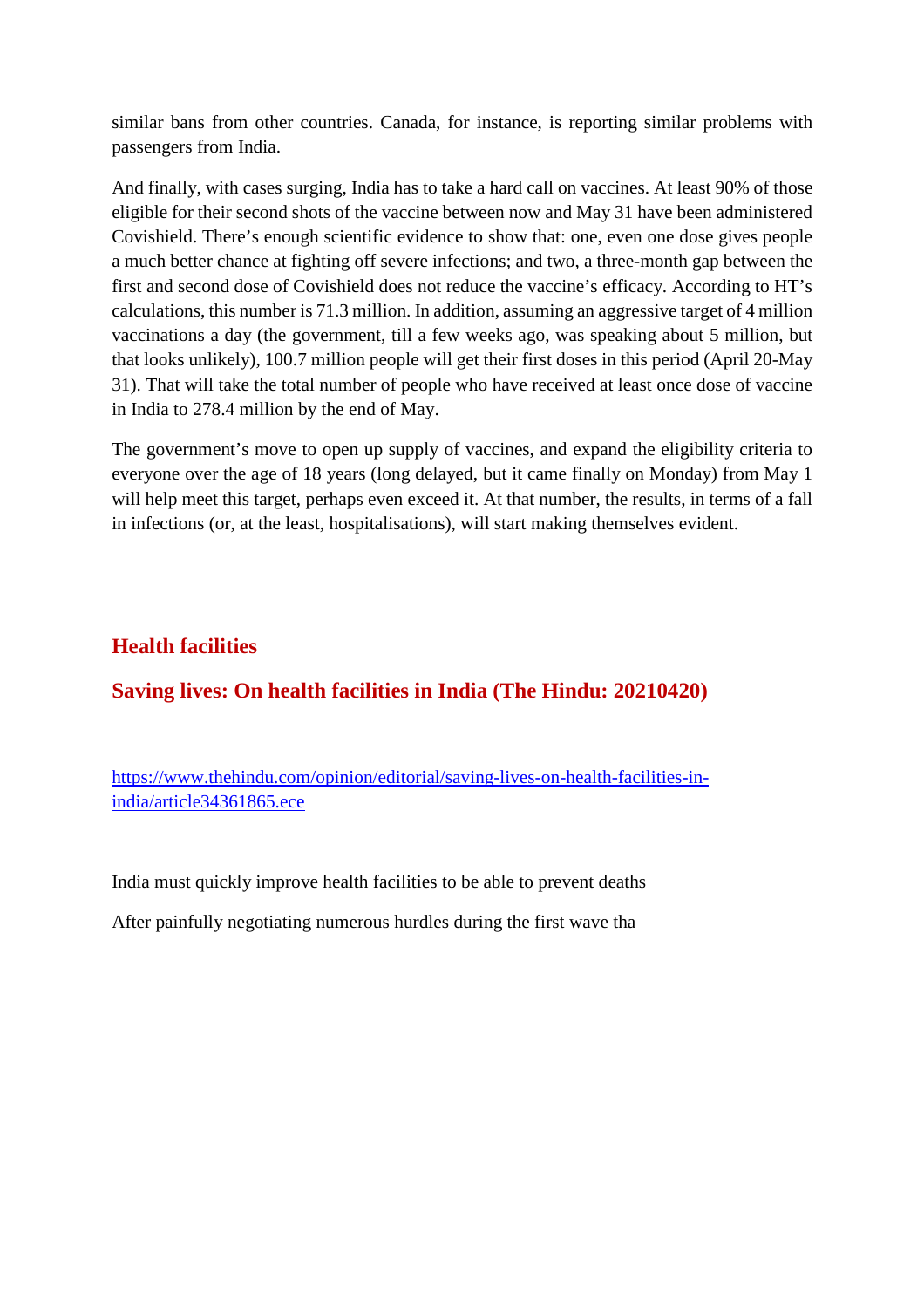similar bans from other countries. Canada, for instance, is reporting similar problems with passengers from India.

And finally, with cases surging, India has to take a hard call on vaccines. At least 90% of those eligible for their second shots of the vaccine between now and May 31 have been administered Covishield. There's enough scientific evidence to show that: one, even one dose gives people a much better chance at fighting off severe infections; and two, a three-month gap between the first and second dose of Covishield does not reduce the vaccine's efficacy. According to HT's calculations, this number is 71.3 million. In addition, assuming an aggressive target of 4 million vaccinations a day (the government, till a few weeks ago, was speaking about 5 million, but that looks unlikely), 100.7 million people will get their first doses in this period (April 20-May 31). That will take the total number of people who have received at least once dose of vaccine in India to 278.4 million by the end of May.

The government's move to open up supply of vaccines, and expand the eligibility criteria to everyone over the age of 18 years (long delayed, but it came finally on Monday) from May 1 will help meet this target, perhaps even exceed it. At that number, the results, in terms of a fall in infections (or, at the least, hospitalisations), will start making themselves evident.

## **Health facilities**

### **Saving lives: On health facilities in India (The Hindu: 20210420)**

https://www.thehindu.com/opinion/editorial/saving-lives-on-health-facilities-inindia/article34361865.ece

India must quickly improve health facilities to be able to prevent deaths

After painfully negotiating numerous hurdles during the first wave tha